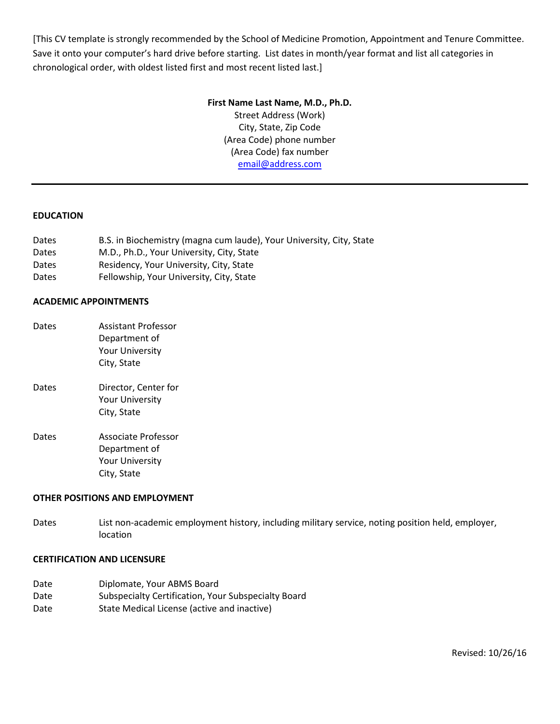[This CV template is strongly recommended by the School of Medicine Promotion, Appointment and Tenure Committee. Save it onto your computer's hard drive before starting. List dates in month/year format and list all categories in chronological order, with oldest listed first and most recent listed last.]

### **First Name Last Name, M.D., Ph.D.**

Street Address (Work) City, State, Zip Code (Area Code) phone number (Area Code) fax number [email@address.com](mailto:email@address.com)

## **EDUCATION**

| Dates       | B.S. in Biochemistry (magna cum laude), Your University, City, State                                                                                                           |
|-------------|--------------------------------------------------------------------------------------------------------------------------------------------------------------------------------|
| <b>D.L.</b> | $\mathbf{A} \mathbf{A} \mathbf{B}$ and $\mathbf{B} \mathbf{A}$ and $\mathbf{B} \mathbf{A}$ and $\mathbf{B} \mathbf{A}$ and $\mathbf{B} \mathbf{A}$ and $\mathbf{B} \mathbf{A}$ |

- Dates M.D., Ph.D., Your University, City, State
- Dates Residency, Your University, City, State
- Dates Fellowship, Your University, City, State

## **ACADEMIC APPOINTMENTS**

- Dates Assistant Professor Department of Your University City, State
- Dates Director, Center for Your University City, State
- Dates Associate Professor Department of Your University City, State

#### **OTHER POSITIONS AND EMPLOYMENT**

Dates List non-academic employment history, including military service, noting position held, employer, location

# **CERTIFICATION AND LICENSURE**

- Date Diplomate, Your ABMS Board
- Date Subspecialty Certification, Your Subspecialty Board
- Date State Medical License (active and inactive)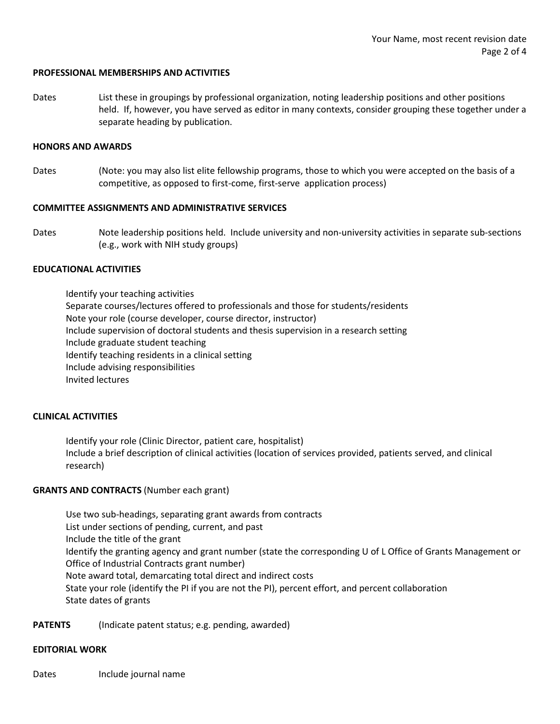### **PROFESSIONAL MEMBERSHIPS AND ACTIVITIES**

Dates List these in groupings by professional organization, noting leadership positions and other positions held. If, however, you have served as editor in many contexts, consider grouping these together under a separate heading by publication.

# **HONORS AND AWARDS**

Dates (Note: you may also list elite fellowship programs, those to which you were accepted on the basis of a competitive, as opposed to first-come, first-serve application process)

#### **COMMITTEE ASSIGNMENTS AND ADMINISTRATIVE SERVICES**

Dates Note leadership positions held. Include university and non-university activities in separate sub-sections (e.g., work with NIH study groups)

#### **EDUCATIONAL ACTIVITIES**

Identify your teaching activities Separate courses/lectures offered to professionals and those for students/residents Note your role (course developer, course director, instructor) Include supervision of doctoral students and thesis supervision in a research setting Include graduate student teaching Identify teaching residents in a clinical setting Include advising responsibilities Invited lectures

#### **CLINICAL ACTIVITIES**

Identify your role (Clinic Director, patient care, hospitalist) Include a brief description of clinical activities (location of services provided, patients served, and clinical research)

#### **GRANTS AND CONTRACTS** (Number each grant)

Use two sub-headings, separating grant awards from contracts List under sections of pending, current, and past Include the title of the grant Identify the granting agency and grant number (state the corresponding U of L Office of Grants Management or Office of Industrial Contracts grant number) Note award total, demarcating total direct and indirect costs State your role (identify the PI if you are not the PI), percent effort, and percent collaboration State dates of grants

**PATENTS** (Indicate patent status; e.g. pending, awarded)

#### **EDITORIAL WORK**

Dates Include journal name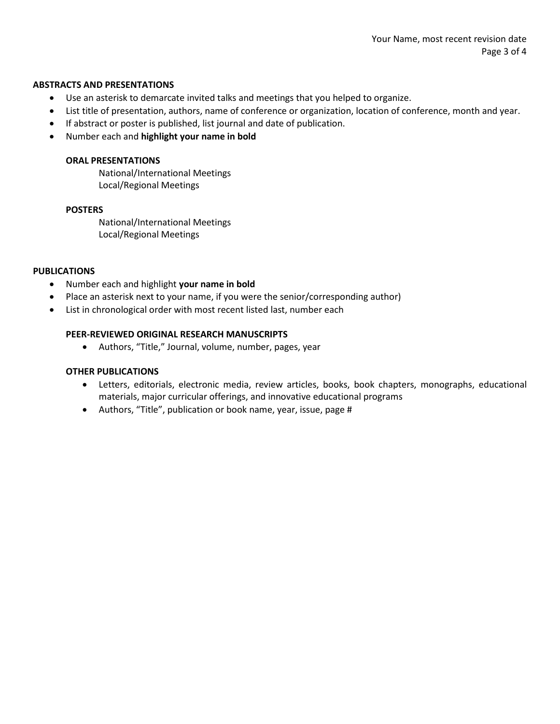## **ABSTRACTS AND PRESENTATIONS**

- Use an asterisk to demarcate invited talks and meetings that you helped to organize.
- List title of presentation, authors, name of conference or organization, location of conference, month and year.
- If abstract or poster is published, list journal and date of publication.
- Number each and **highlight your name in bold**

# **ORAL PRESENTATIONS**

National/International Meetings Local/Regional Meetings

## **POSTERS**

National/International Meetings Local/Regional Meetings

# **PUBLICATIONS**

- Number each and highlight **your name in bold**
- Place an asterisk next to your name, if you were the senior/corresponding author)
- List in chronological order with most recent listed last, number each

## **PEER-REVIEWED ORIGINAL RESEARCH MANUSCRIPTS**

• Authors, "Title," Journal, volume, number, pages, year

#### **OTHER PUBLICATIONS**

- Letters, editorials, electronic media, review articles, books, book chapters, monographs, educational materials, major curricular offerings, and innovative educational programs
- Authors, "Title", publication or book name, year, issue, page #